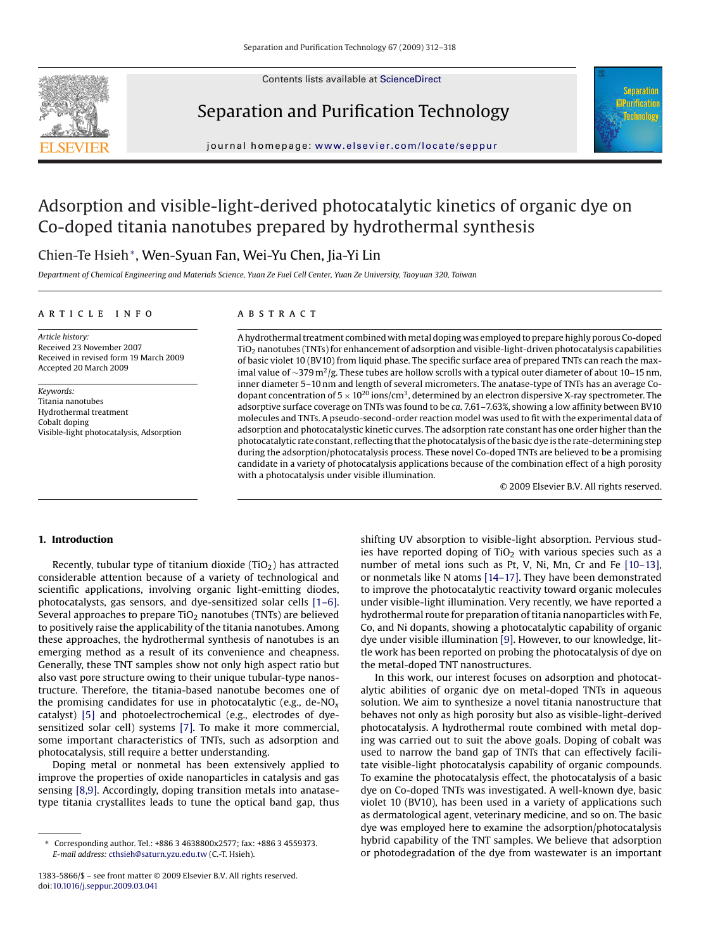

Contents lists available at [ScienceDirect](http://www.sciencedirect.com/science/journal/13835866)

# Separation and Purification Technology



journal homepage: [www.elsevier.com/locate/seppur](http://www.elsevier.com/locate/seppur)

# Adsorption and visible-light-derived photocatalytic kinetics of organic dye on Co-doped titania nanotubes prepared by hydrothermal synthesis

# Chien-Te Hsieh∗, Wen-Syuan Fan, Wei-Yu Chen, Jia-Yi Lin

*Department of Chemical Engineering and Materials Science, Yuan Ze Fuel Cell Center, Yuan Ze University, Taoyuan 320, Taiwan*

### article info

*Article history:* Received 23 November 2007 Received in revised form 19 March 2009 Accepted 20 March 2009

*Keywords:* Titania nanotubes Hydrothermal treatment Cobalt doping Visible-light photocatalysis, Adsorption

# **ABSTRACT**

A hydrothermal treatment combined withmetal doping was employed to prepare highly porous Co-doped  $TiO<sub>2</sub>$  nanotubes (TNTs) for enhancement of adsorption and visible-light-driven photocatalysis capabilities of basic violet 10 (BV10) from liquid phase. The specific surface area of prepared TNTs can reach the maximal value of ∼379 m<sup>2</sup>/g. These tubes are hollow scrolls with a typical outer diameter of about 10–15 nm, inner diameter 5–10 nm and length of several micrometers. The anatase-type of TNTs has an average Codopant concentration of  $5 \times 10^{20}$  ions/cm<sup>3</sup>, determined by an electron dispersive X-ray spectrometer. The adsorptive surface coverage on TNTs was found to be *ca*. 7.61–7.63%, showing a low affinity between BV10 molecules and TNTs. A pseudo-second-order reaction model was used to fit with the experimental data of adsorption and photocatalystic kinetic curves. The adsorption rate constant has one order higher than the photocatalytic rate constant, reflecting that the photocatalysis of the basic dye is the rate-determining step during the adsorption/photocatalysis process. These novel Co-doped TNTs are believed to be a promising candidate in a variety of photocatalysis applications because of the combination effect of a high porosity with a photocatalysis under visible illumination.

© 2009 Elsevier B.V. All rights reserved.

## **1. Introduction**

Recently, tubular type of titanium dioxide  $(TiO<sub>2</sub>)$  has attracted considerable attention because of a variety of technological and scientific applications, involving organic light-emitting diodes, photocatalysts, gas sensors, and dye-sensitized solar cells [\[1–6\].](#page-5-0) Several approaches to prepare  $TiO<sub>2</sub>$  nanotubes (TNTs) are believed to positively raise the applicability of the titania nanotubes. Among these approaches, the hydrothermal synthesis of nanotubes is an emerging method as a result of its convenience and cheapness. Generally, these TNT samples show not only high aspect ratio but also vast pore structure owing to their unique tubular-type nanostructure. Therefore, the titania-based nanotube becomes one of the promising candidates for use in photocatalytic (e.g., de-NO*<sup>x</sup>* catalyst) [\[5\]](#page-6-0) and photoelectrochemical (e.g., electrodes of dyesensitized solar cell) systems [\[7\].](#page-6-0) To make it more commercial, some important characteristics of TNTs, such as adsorption and photocatalysis, still require a better understanding.

Doping metal or nonmetal has been extensively applied to improve the properties of oxide nanoparticles in catalysis and gas sensing [\[8,9\]. A](#page-6-0)ccordingly, doping transition metals into anatasetype titania crystallites leads to tune the optical band gap, thus

shifting UV absorption to visible-light absorption. Pervious studies have reported doping of  $TiO<sub>2</sub>$  with various species such as a number of metal ions such as Pt, V, Ni, Mn, Cr and Fe [\[10–13\],](#page-6-0) or nonmetals like N atoms [\[14–17\]. T](#page-6-0)hey have been demonstrated to improve the photocatalytic reactivity toward organic molecules under visible-light illumination. Very recently, we have reported a hydrothermal route for preparation of titania nanoparticles with Fe, Co, and Ni dopants, showing a photocatalytic capability of organic dye under visible illumination [\[9\]. H](#page-6-0)owever, to our knowledge, little work has been reported on probing the photocatalysis of dye on the metal-doped TNT nanostructures.

In this work, our interest focuses on adsorption and photocatalytic abilities of organic dye on metal-doped TNTs in aqueous solution. We aim to synthesize a novel titania nanostructure that behaves not only as high porosity but also as visible-light-derived photocatalysis. A hydrothermal route combined with metal doping was carried out to suit the above goals. Doping of cobalt was used to narrow the band gap of TNTs that can effectively facilitate visible-light photocatalysis capability of organic compounds. To examine the photocatalysis effect, the photocatalysis of a basic dye on Co-doped TNTs was investigated. A well-known dye, basic violet 10 (BV10), has been used in a variety of applications such as dermatological agent, veterinary medicine, and so on. The basic dye was employed here to examine the adsorption/photocatalysis hybrid capability of the TNT samples. We believe that adsorption or photodegradation of the dye from wastewater is an important

<sup>∗</sup> Corresponding author. Tel.: +886 3 4638800x2577; fax: +886 3 4559373. *E-mail address:* [cthsieh@saturn.yzu.edu.tw](mailto:cthsieh@saturn.yzu.edu.tw) (C.-T. Hsieh).

<sup>1383-5866/\$ –</sup> see front matter © 2009 Elsevier B.V. All rights reserved. doi:[10.1016/j.seppur.2009.03.041](dx.doi.org/10.1016/j.seppur.2009.03.041)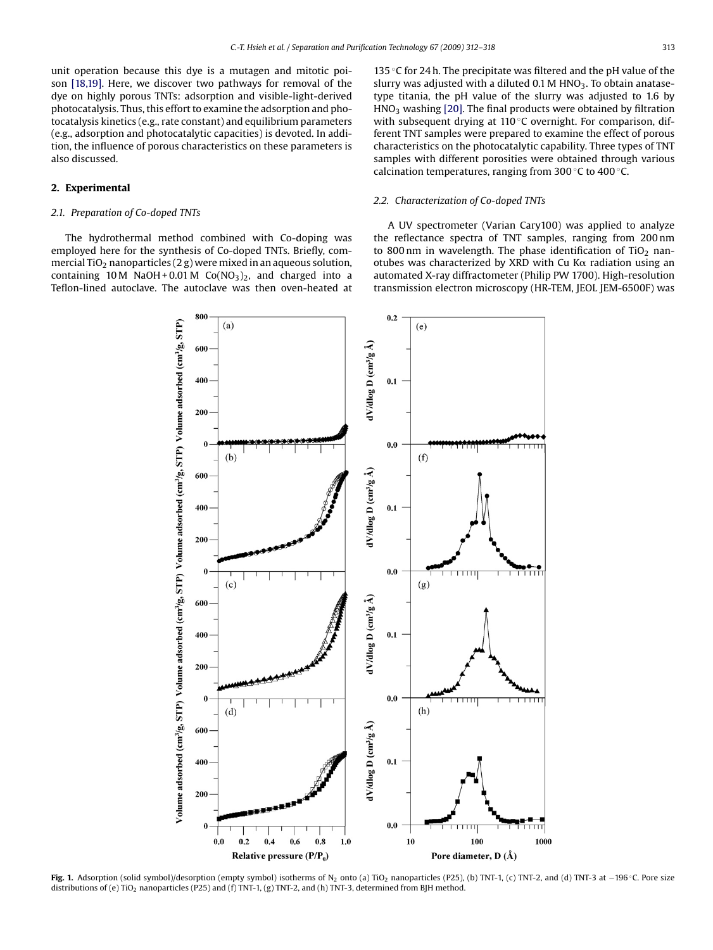<span id="page-1-0"></span>unit operation because this dye is a mutagen and mitotic poison [\[18,19\].](#page-6-0) Here, we discover two pathways for removal of the dye on highly porous TNTs: adsorption and visible-light-derived photocatalysis. Thus, this effort to examine the adsorption and photocatalysis kinetics (e.g., rate constant) and equilibrium parameters (e.g., adsorption and photocatalytic capacities) is devoted. In addition, the influence of porous characteristics on these parameters is also discussed.

# **2. Experimental**

# *2.1. Preparation of Co-doped TNTs*

The hydrothermal method combined with Co-doping was employed here for the synthesis of Co-doped TNTs. Briefly, commercial TiO<sub>2</sub> nanoparticles (2 g) were mixed in an aqueous solution, containing 10 M NaOH + 0.01 M Co(NO<sub>3</sub>)<sub>2</sub>, and charged into a Teflon-lined autoclave. The autoclave was then oven-heated at 135  $\degree$ C for 24 h. The precipitate was filtered and the pH value of the slurry was adjusted with a diluted  $0.1$  M HNO<sub>3</sub>. To obtain anatasetype titania, the pH value of the slurry was adjusted to 1.6 by  $HNO<sub>3</sub>$  washing [\[20\]. T](#page-6-0)he final products were obtained by filtration with subsequent drying at 110 ℃ overnight. For comparison, different TNT samples were prepared to examine the effect of porous characteristics on the photocatalytic capability. Three types of TNT samples with different porosities were obtained through various calcination temperatures, ranging from 300 ◦C to 400 ◦C.

# *2.2. Characterization of Co-doped TNTs*

A UV spectrometer (Varian Cary100) was applied to analyze the reflectance spectra of TNT samples, ranging from 200 nm to 800 nm in wavelength. The phase identification of  $TiO<sub>2</sub>$  nanotubes was characterized by XRD with Cu K $\alpha$  radiation using an automated X-ray diffractometer (Philip PW 1700). High-resolution transmission electron microscopy (HR-TEM, JEOL JEM-6500F) was



**Fig. 1.** Adsorption (solid symbol)/desorption (empty symbol) isotherms of N2 onto (a) TiO2 nanoparticles (P25), (b) TNT-1, (c) TNT-2, and (d) TNT-3 at −196 ◦C. Pore size distributions of (e) TiO<sub>2</sub> nanoparticles (P25) and (f) TNT-1, (g) TNT-2, and (h) TNT-3, determined from BJH method.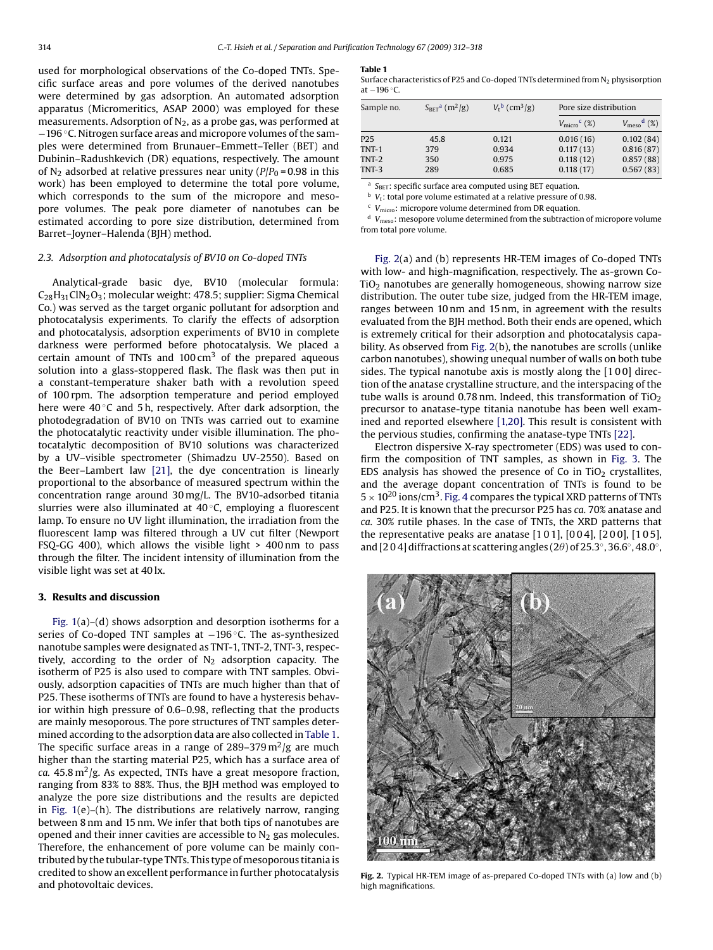<span id="page-2-0"></span>used for morphological observations of the Co-doped TNTs. Specific surface areas and pore volumes of the derived nanotubes were determined by gas adsorption. An automated adsorption apparatus (Micromeritics, ASAP 2000) was employed for these measurements. Adsorption of  $N_2$ , as a probe gas, was performed at −196 ◦C. Nitrogen surface areas and micropore volumes of the samples were determined from Brunauer–Emmett–Teller (BET) and Dubinin–Radushkevich (DR) equations, respectively. The amount of N<sub>2</sub> adsorbed at relative pressures near unity  $(P/P_0 = 0.98$  in this work) has been employed to determine the total pore volume, which corresponds to the sum of the micropore and mesopore volumes. The peak pore diameter of nanotubes can be estimated according to pore size distribution, determined from Barret–Joyner–Halenda (BJH) method.

#### *2.3. Adsorption and photocatalysis of BV10 on Co-doped TNTs*

Analytical-grade basic dye, BV10 (molecular formula: C28H31ClN2O3; molecular weight: 478.5; supplier: Sigma Chemical Co.) was served as the target organic pollutant for adsorption and photocatalysis experiments. To clarify the effects of adsorption and photocatalysis, adsorption experiments of BV10 in complete darkness were performed before photocatalysis. We placed a certain amount of TNTs and  $100 \text{ cm}^3$  of the prepared aqueous solution into a glass-stoppered flask. The flask was then put in a constant-temperature shaker bath with a revolution speed of 100 rpm. The adsorption temperature and period employed here were  $40^{\circ}$ C and 5 h, respectively. After dark adsorption, the photodegradation of BV10 on TNTs was carried out to examine the photocatalytic reactivity under visible illumination. The photocatalytic decomposition of BV10 solutions was characterized by a UV–visible spectrometer (Shimadzu UV-2550). Based on the Beer–Lambert law [\[21\],](#page-6-0) the dye concentration is linearly proportional to the absorbance of measured spectrum within the concentration range around 30 mg/L. The BV10-adsorbed titania slurries were also illuminated at 40 ◦C, employing a fluorescent lamp. To ensure no UV light illumination, the irradiation from the fluorescent lamp was filtered through a UV cut filter (Newport FSQ-GG 400), which allows the visible light > 400 nm to pass through the filter. The incident intensity of illumination from the visible light was set at 40 lx.

#### **3. Results and discussion**

[Fig. 1\(a](#page-1-0))–(d) shows adsorption and desorption isotherms for a series of Co-doped TNT samples at −196 °C. The as-synthesized nanotube samples were designated as TNT-1, TNT-2, TNT-3, respectively, according to the order of  $N_2$  adsorption capacity. The isotherm of P25 is also used to compare with TNT samples. Obviously, adsorption capacities of TNTs are much higher than that of P25. These isotherms of TNTs are found to have a hysteresis behavior within high pressure of 0.6–0.98, reflecting that the products are mainly mesoporous. The pore structures of TNT samples determined according to the adsorption data are also collected in Table 1. The specific surface areas in a range of  $289-379 \,\mathrm{m}^2/\mathrm{g}$  are much higher than the starting material P25, which has a surface area of *ca.*  $45.8 \text{ m}^2/\text{g}$ . As expected, TNTs have a great mesopore fraction, ranging from 83% to 88%. Thus, the BJH method was employed to analyze the pore size distributions and the results are depicted in [Fig. 1\(e](#page-1-0))–(h). The distributions are relatively narrow, ranging between 8 nm and 15 nm. We infer that both tips of nanotubes are opened and their inner cavities are accessible to  $N_2$  gas molecules. Therefore, the enhancement of pore volume can be mainly contributed by the tubular-type TNTs. This type of mesoporous titania is credited to show an excellent performance in further photocatalysis and photovoltaic devices.

#### **Table 1**

Surface characteristics of P25 and Co-doped TNTs determined from  $N_2$  physisorption at −196 ◦C.

| Sample no. | $S_{BET}$ <sup>a</sup> (m <sup>2</sup> /g) | $V_{\rm r}^{\rm b}$ (cm <sup>3</sup> /g) | Pore size distribution            |                                  |
|------------|--------------------------------------------|------------------------------------------|-----------------------------------|----------------------------------|
|            |                                            |                                          | $V_{\text{micro}}^{\text{c}}$ (%) | $V_{\text{meso}}^{\text{d}}(\%)$ |
| P25        | 45.8                                       | 0.121                                    | 0.016(16)                         | 0.102(84)                        |
| $TNT-1$    | 379                                        | 0.934                                    | 0.117(13)                         | 0.816(87)                        |
| $TNT-2$    | 350                                        | 0.975                                    | 0.118(12)                         | 0.857(88)                        |
| TNT-3      | 289                                        | 0.685                                    | 0.118(17)                         | 0.567(83)                        |

<sup>a</sup> S<sub>BET</sub>: specific surface area computed using BET equation.

 $\overline{b}$   $V_t$ : total pore volume estimated at a relative pressure of 0.98.

<sup>c</sup> *V*micro: micropore volume determined from DR equation.

<sup>d</sup> *V*meso: mesopore volume determined from the subtraction of micropore volume from total pore volume.

Fig. 2(a) and (b) represents HR-TEM images of Co-doped TNTs with low- and high-magnification, respectively. The as-grown Co- $TiO<sub>2</sub>$  nanotubes are generally homogeneous, showing narrow size distribution. The outer tube size, judged from the HR-TEM image, ranges between 10 nm and 15 nm, in agreement with the results evaluated from the BJH method. Both their ends are opened, which is extremely critical for their adsorption and photocatalysis capability. As observed from Fig. 2(b), the nanotubes are scrolls (unlike carbon nanotubes), showing unequal number of walls on both tube sides. The typical nanotube axis is mostly along the [1 0 0] direction of the anatase crystalline structure, and the interspacing of the tube walls is around 0.78 nm. Indeed, this transformation of  $TiO<sub>2</sub>$ precursor to anatase-type titania nanotube has been well examined and reported elsewhere [\[1,20\]. T](#page-5-0)his result is consistent with the pervious studies, confirming the anatase-type TNTs [\[22\].](#page-6-0)

Electron dispersive X-ray spectrometer (EDS) was used to confirm the composition of TNT samples, as shown in [Fig. 3.](#page-3-0) The EDS analysis has showed the presence of Co in TiO<sub>2</sub> crystallites, and the average dopant concentration of TNTs is found to be  $5 \times 10^{20}$  ions/cm<sup>3</sup>. [Fig. 4](#page-3-0) compares the typical XRD patterns of TNTs and P25. It is known that the precursor P25 has *ca.* 70% anatase and *ca.* 30% rutile phases. In the case of TNTs, the XRD patterns that the representative peaks are anatase [1 0 1], [0 0 4], [2 0 0], [1 0 5], and [2 0 4] diffractions at scattering angles (2 $\theta$ ) of 25.3°, 36.6°, 48.0°,



**Fig. 2.** Typical HR-TEM image of as-prepared Co-doped TNTs with (a) low and (b) high magnifications.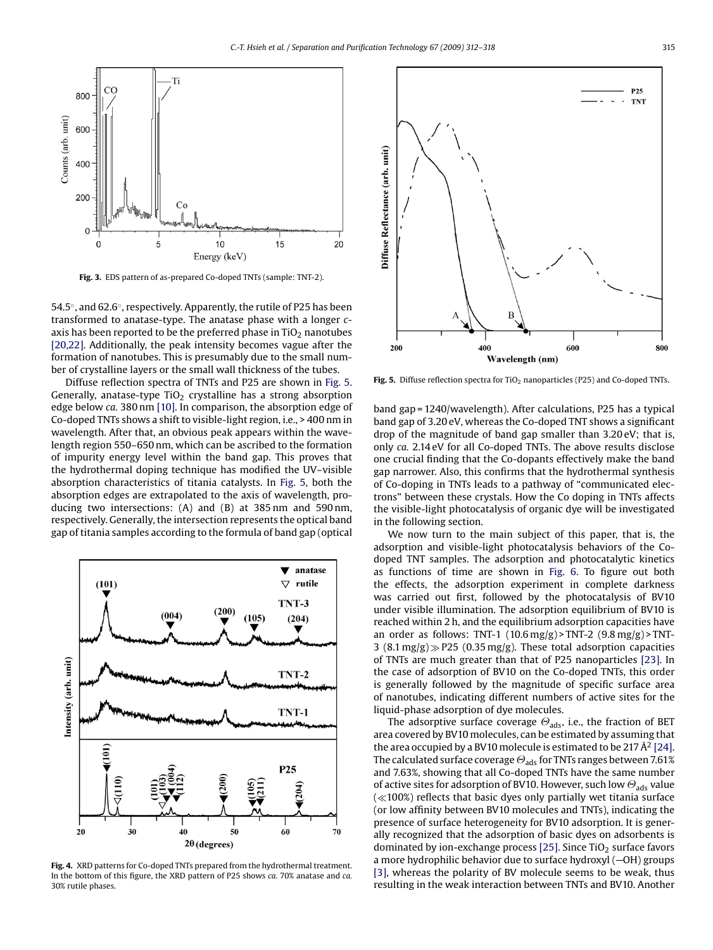<span id="page-3-0"></span>

**Fig. 3.** EDS pattern of as-prepared Co-doped TNTs (sample: TNT-2).

54.5◦, and 62.6◦, respectively. Apparently, the rutile of P25 has been transformed to anatase-type. The anatase phase with a longer *c*axis has been reported to be the preferred phase in  $TiO<sub>2</sub>$  nanotubes [\[20,22\]. A](#page-6-0)dditionally, the peak intensity becomes vague after the formation of nanotubes. This is presumably due to the small number of crystalline layers or the small wall thickness of the tubes.

Diffuse reflection spectra of TNTs and P25 are shown in Fig. 5. Generally, anatase-type  $TiO<sub>2</sub>$  crystalline has a strong absorption edge below *ca.* 380 nm [\[10\]. I](#page-6-0)n comparison, the absorption edge of Co-doped TNTs shows a shift to visible-light region, i.e., > 400 nm in wavelength. After that, an obvious peak appears within the wavelength region 550–650 nm, which can be ascribed to the formation of impurity energy level within the band gap. This proves that the hydrothermal doping technique has modified the UV–visible absorption characteristics of titania catalysts. In Fig. 5, both the absorption edges are extrapolated to the axis of wavelength, producing two intersections: (A) and (B) at 385 nm and 590 nm, respectively. Generally, the intersection represents the optical band gap of titania samples according to the formula of band gap (optical



**Fig. 4.** XRD patterns for Co-doped TNTs prepared from the hydrothermal treatment. In the bottom of this figure, the XRD pattern of P25 shows *ca.* 70% anatase and *ca.* 30% rutile phases.



**Fig. 5.** Diffuse reflection spectra for TiO<sub>2</sub> nanoparticles (P25) and Co-doped TNTs.

band gap = 1240/wavelength). After calculations, P25 has a typical band gap of 3.20 eV, whereas the Co-doped TNT shows a significant drop of the magnitude of band gap smaller than 3.20 eV; that is, only *ca.* 2.14 eV for all Co-doped TNTs. The above results disclose one crucial finding that the Co-dopants effectively make the band gap narrower. Also, this confirms that the hydrothermal synthesis of Co-doping in TNTs leads to a pathway of "communicated electrons" between these crystals. How the Co doping in TNTs affects the visible-light photocatalysis of organic dye will be investigated in the following section.

We now turn to the main subject of this paper, that is, the adsorption and visible-light photocatalysis behaviors of the Codoped TNT samples. The adsorption and photocatalytic kinetics as functions of time are shown in [Fig. 6.](#page-4-0) To figure out both the effects, the adsorption experiment in complete darkness was carried out first, followed by the photocatalysis of BV10 under visible illumination. The adsorption equilibrium of BV10 is reached within 2 h, and the equilibrium adsorption capacities have an order as follows: TNT-1  $(10.6 \text{ mg/g})$  > TNT-2  $(9.8 \text{ mg/g})$  > TNT-3 (8.1 mg/g)  $\gg$  P25 (0.35 mg/g). These total adsorption capacities of TNTs are much greater than that of P25 nanoparticles [\[23\].](#page-6-0) In the case of adsorption of BV10 on the Co-doped TNTs, this order is generally followed by the magnitude of specific surface area of nanotubes, indicating different numbers of active sites for the liquid-phase adsorption of dye molecules.

The adsorptive surface coverage  $\Theta_{\text{ads}}$ , i.e., the fraction of BET area covered by BV10 molecules, can be estimated by assuming that the area occupied by a BV10 molecule is estimated to be 217  $\AA^2$  [\[24\].](#page-6-0) The calculated surface coverage  $\Theta_{\text{ads}}$  for TNTs ranges between 7.61% and 7.63%, showing that all Co-doped TNTs have the same number of active sites for adsorption of BV10. However, such low  $\Theta_{\text{ads}}$  value  $\ll$  100%) reflects that basic dyes only partially wet titania surface (or low affinity between BV10 molecules and TNTs), indicating the presence of surface heterogeneity for BV10 adsorption. It is generally recognized that the adsorption of basic dyes on adsorbents is dominated by ion-exchange process [\[25\]. S](#page-6-0)ince  $TiO<sub>2</sub>$  surface favors a more hydrophilic behavior due to surface hydroxyl  $(-OH)$  groups [\[3\], w](#page-5-0)hereas the polarity of BV molecule seems to be weak, thus resulting in the weak interaction between TNTs and BV10. Another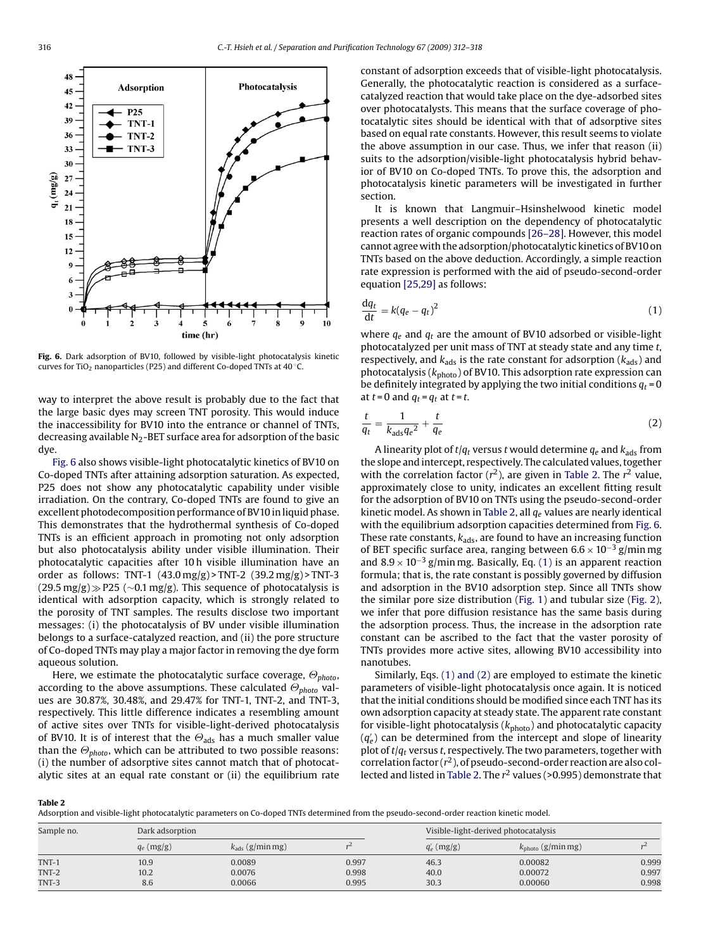**Photocatalysis** 



**Fig. 6.** Dark adsorption of BV10, followed by visible-light photocatalysis kinetic curves for TiO<sub>2</sub> nanoparticles (P25) and different Co-doped TNTs at 40 °C.

way to interpret the above result is probably due to the fact that the large basic dyes may screen TNT porosity. This would induce the inaccessibility for BV10 into the entrance or channel of TNTs, decreasing available  $N_2$ -BET surface area for adsorption of the basic dye.

Fig. 6 also shows visible-light photocatalytic kinetics of BV10 on Co-doped TNTs after attaining adsorption saturation. As expected, P25 does not show any photocatalytic capability under visible irradiation. On the contrary, Co-doped TNTs are found to give an excellent photodecomposition performance of BV10 in liquid phase. This demonstrates that the hydrothermal synthesis of Co-doped TNTs is an efficient approach in promoting not only adsorption but also photocatalysis ability under visible illumination. Their photocatalytic capacities after 10 h visible illumination have an order as follows: TNT-1 (43.0 mg/g) > TNT-2 (39.2 mg/g) > TNT-3  $(29.5 \text{ mg/g}) \gg P25$  (∼0.1 mg/g). This sequence of photocatalysis is identical with adsorption capacity, which is strongly related to the porosity of TNT samples. The results disclose two important messages: (i) the photocatalysis of BV under visible illumination belongs to a surface-catalyzed reaction, and (ii) the pore structure of Co-doped TNTs may play a major factor in removing the dye form aqueous solution.

Here, we estimate the photocatalytic surface coverage,  $\Theta_{\text{photo}}$ , according to the above assumptions. These calculated  $\Theta_{photo}$  values are 30.87%, 30.48%, and 29.47% for TNT-1, TNT-2, and TNT-3, respectively. This little difference indicates a resembling amount of active sites over TNTs for visible-light-derived photocatalysis of BV10. It is of interest that the  $\Theta_{\text{ads}}$  has a much smaller value than the  $\Theta_{photo}$ , which can be attributed to two possible reasons: (i) the number of adsorptive sites cannot match that of photocatalytic sites at an equal rate constant or (ii) the equilibrium rate

constant of adsorption exceeds that of visible-light photocatalysis. Generally, the photocatalytic reaction is considered as a surfacecatalyzed reaction that would take place on the dye-adsorbed sites over photocatalysts. This means that the surface coverage of photocatalytic sites should be identical with that of adsorptive sites based on equal rate constants. However, this result seems to violate the above assumption in our case. Thus, we infer that reason (ii) suits to the adsorption/visible-light photocatalysis hybrid behavior of BV10 on Co-doped TNTs. To prove this, the adsorption and photocatalysis kinetic parameters will be investigated in further section.

It is known that Langmuir–Hsinshelwood kinetic model presents a well description on the dependency of photocatalytic reaction rates of organic compounds [\[26–28\]. H](#page-6-0)owever, this model cannot agree with the adsorption/photocatalytic kinetics of BV10 on TNTs based on the above deduction. Accordingly, a simple reaction rate expression is performed with the aid of pseudo-second-order equation [\[25,29\]](#page-6-0) as follows:

$$
\frac{\mathrm{d}q_t}{\mathrm{d}t} = k(q_e - q_t)^2 \tag{1}
$$

where *qe* and *qt* are the amount of BV10 adsorbed or visible-light photocatalyzed per unit mass of TNT at steady state and any time *t*, respectively, and  $k_{\text{ads}}$  is the rate constant for adsorption  $(k_{\text{ads}})$  and photocatalysis ( $k_{\text{photo}}$ ) of BV10. This adsorption rate expression can be definitely integrated by applying the two initial conditions  $q_t = 0$ at  $t = 0$  and  $q_t = q_t$  at  $t = t$ .

$$
\frac{t}{q_t} = \frac{1}{k_{\text{ads}}q_e^2} + \frac{t}{q_e} \tag{2}
$$

A linearity plot of  $t/q_t$  versus  $t$  would determine  $q_e$  and  $k_{ads}$  from the slope and intercept, respectively. The calculated values, together with the correlation factor  $(r^2)$ , are given in Table 2. The  $r^2$  value, approximately close to unity, indicates an excellent fitting result for the adsorption of BV10 on TNTs using the pseudo-second-order kinetic model. As shown in Table 2, all *qe* values are nearly identical with the equilibrium adsorption capacities determined from Fig. 6. These rate constants,  $k_{\text{ads}}$ , are found to have an increasing function of BET specific surface area, ranging between 6.6 <sup>×</sup> <sup>10</sup>−<sup>3</sup> g/min mg and  $8.9 \times 10^{-3}$  g/min mg. Basically, Eq. (1) is an apparent reaction formula; that is, the rate constant is possibly governed by diffusion and adsorption in the BV10 adsorption step. Since all TNTs show the similar pore size distribution ([Fig. 1\)](#page-1-0) and tubular size [\(Fig. 2\),](#page-2-0) we infer that pore diffusion resistance has the same basis during the adsorption process. Thus, the increase in the adsorption rate constant can be ascribed to the fact that the vaster porosity of TNTs provides more active sites, allowing BV10 accessibility into nanotubes.

Similarly, Eqs. (1) and (2) are employed to estimate the kinetic parameters of visible-light photocatalysis once again. It is noticed that the initial conditions should be modified since each TNT has its own adsorption capacity at steady state. The apparent rate constant for visible-light photocatalysis ( $k_{\text{photo}}$ ) and photocatalytic capacity  $\left( q_{e}^{\prime}\right)$  can be determined from the intercept and slope of linearity plot of *t*/*qt* versus *t*, respectively. The two parameters, together with correlation factor  $(r^2)$ , of pseudo-second-order reaction are also collected and listed in Table 2. The *r*<sup>2</sup> values (>0.995) demonstrate that

**Table 2**

Adsorption and visible-light photocatalytic parameters on Co-doped TNTs determined from the pseudo-second-order reaction kinetic model.

| Sample no. | Dark adsorption |                             |       | Visible-light-derived photocatalysis |                               |       |
|------------|-----------------|-----------------------------|-------|--------------------------------------|-------------------------------|-------|
|            | $q_e$ (mg/g)    | $k_{\text{ads}}$ (g/min mg) |       | $q'_{e}$ (mg/g)                      | $k_{\text{photo}}$ (g/min mg) |       |
| TNT-1      | 10.9            | 0.0089                      | 0.997 | 46.3                                 | 0.00082                       | 0.999 |
| TNT-2      | 10.2            | 0.0076                      | 0.998 | 40.0                                 | 0.00072                       | 0.997 |
| TNT-3      | 8.6             | 0.0066                      | 0.995 | 30.3                                 | 0.00060                       | 0.998 |

<span id="page-4-0"></span>48

 $45$  $\overline{A}$ 

39

36

33 30 Adsorption

TNT-1

**TNT-2** TNT-3

 $P25$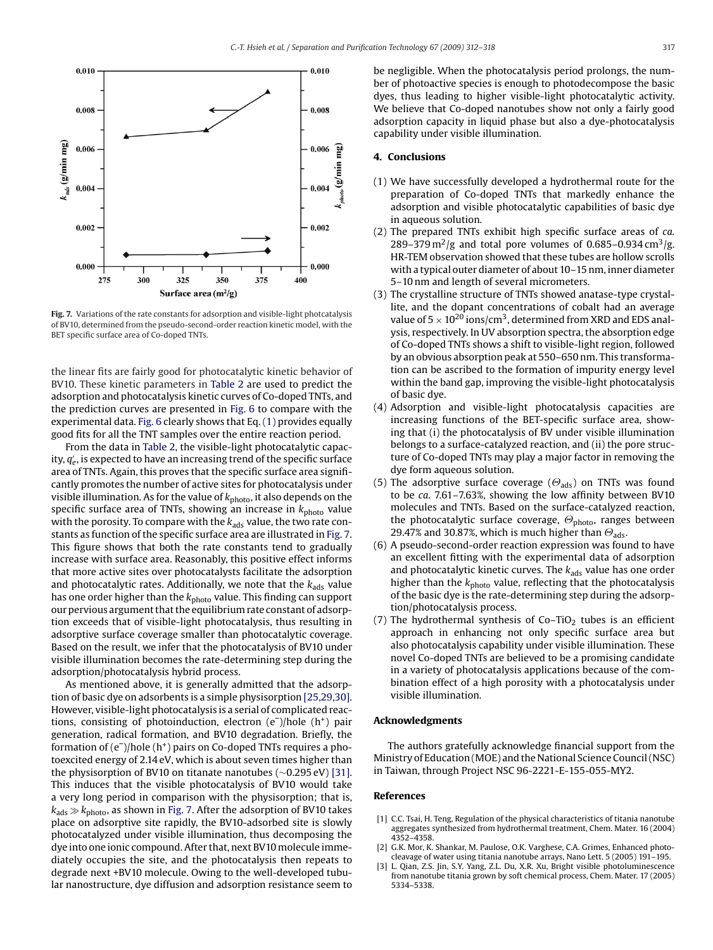<span id="page-5-0"></span>

**Fig. 7.** Variations of the rate constants for adsorption and visible-light photcatalysis of BV10, determined from the pseudo-second-order reaction kinetic model, with the BET specific surface area of Co-doped TNTs.

the linear fits are fairly good for photocatalytic kinetic behavior of BV10. These kinetic parameters in [Table 2](#page-4-0) are used to predict the adsorption and photocatalysis kinetic curves of Co-doped TNTs, and the prediction curves are presented in [Fig. 6](#page-4-0) to compare with the experimental data. [Fig. 6](#page-4-0) clearly shows that Eq. [\(1\)](#page-4-0) provides equally good fits for all the TNT samples over the entire reaction period.

From the data in [Table 2, t](#page-4-0)he visible-light photocatalytic capacity,  $q^{\prime}_e$ , is expected to have an increasing trend of the specific surface area of TNTs. Again, this proves that the specific surface area significantly promotes the number of active sites for photocatalysis under visible illumination. As for the value of  $k_{\text{photo}}$ , it also depends on the specific surface area of TNTs, showing an increase in  $k_{\text{photo}}$  value with the porosity. To compare with the  $k_{\text{ads}}$  value, the two rate constants as function of the specific surface area are illustrated in Fig. 7. This figure shows that both the rate constants tend to gradually increase with surface area. Reasonably, this positive effect informs that more active sites over photocatalysts facilitate the adsorption and photocatalytic rates. Additionally, we note that the  $k_{\text{ads}}$  value has one order higher than the  $k_{\text{photo}}$  value. This finding can support our pervious argument that the equilibrium rate constant of adsorption exceeds that of visible-light photocatalysis, thus resulting in adsorptive surface coverage smaller than photocatalytic coverage. Based on the result, we infer that the photocatalysis of BV10 under visible illumination becomes the rate-determining step during the adsorption/photocatalysis hybrid process.

As mentioned above, it is generally admitted that the adsorption of basic dye on adsorbents is a simple physisorption [\[25,29,30\].](#page-6-0) However, visible-light photocatalysis is a serial of complicated reactions, consisting of photoinduction, electron  $(e^-)/$ hole  $(h^+)$  pair generation, radical formation, and BV10 degradation. Briefly, the formation of  $(e^-)$ /hole  $(h^+)$  pairs on Co-doped TNTs requires a photoexcited energy of 2.14 eV, which is about seven times higher than the physisorption of BV10 on titanate nanotubes (∼0.295 eV) [\[31\].](#page-6-0) This induces that the visible photocatalysis of BV10 would take a very long period in comparison with the physisorption; that is,  $k_{\text{ads}} \gg k_{\text{photo}}$ , as shown in Fig. 7. After the adsorption of BV10 takes place on adsorptive site rapidly, the BV10-adsorbed site is slowly photocatalyzed under visible illumination, thus decomposing the dye into one ionic compound. After that, next BV10 molecule immediately occupies the site, and the photocatalysis then repeats to degrade next +BV10 molecule. Owing to the well-developed tubular nanostructure, dye diffusion and adsorption resistance seem to be negligible. When the photocatalysis period prolongs, the number of photoactive species is enough to photodecompose the basic dyes, thus leading to higher visible-light photocatalytic activity. We believe that Co-doped nanotubes show not only a fairly good adsorption capacity in liquid phase but also a dye-photocatalysis capability under visible illumination.

#### **4. Conclusions**

- (1) We have successfully developed a hydrothermal route for the preparation of Co-doped TNTs that markedly enhance the adsorption and visible photocatalytic capabilities of basic dye in aqueous solution.
- (2) The prepared TNTs exhibit high specific surface areas of *ca.* 289–379 m<sup>2</sup>/g and total pore volumes of 0.685–0.934 cm<sup>3</sup>/g. HR-TEM observation showed that these tubes are hollow scrolls with a typical outer diameter of about 10–15 nm, inner diameter 5–10 nm and length of several micrometers.
- (3) The crystalline structure of TNTs showed anatase-type crystallite, and the dopant concentrations of cobalt had an average value of  $5 \times 10^{20}$  ions/cm<sup>3</sup>, determined from XRD and EDS analysis, respectively. In UV absorption spectra, the absorption edge of Co-doped TNTs shows a shift to visible-light region, followed by an obvious absorption peak at 550–650 nm. This transformation can be ascribed to the formation of impurity energy level within the band gap, improving the visible-light photocatalysis of basic dye.
- (4) Adsorption and visible-light photocatalysis capacities are increasing functions of the BET-specific surface area, showing that (i) the photocatalysis of BV under visible illumination belongs to a surface-catalyzed reaction, and (ii) the pore structure of Co-doped TNTs may play a major factor in removing the dye form aqueous solution.
- (5) The adsorptive surface coverage ( $\Theta_{\text{ads}}$ ) on TNTs was found to be *ca*. 7.61–7.63%, showing the low affinity between BV10 molecules and TNTs. Based on the surface-catalyzed reaction, the photocatalytic surface coverage,  $\Theta_{\text{photo}}$ , ranges between 29.47% and 30.87%, which is much higher than  $\Theta_{\text{ads}}$ .
- (6) A pseudo-second-order reaction expression was found to have an excellent fitting with the experimental data of adsorption and photocatalytic kinetic curves. The  $k_{\text{ads}}$  value has one order higher than the *k*photo value, reflecting that the photocatalysis of the basic dye is the rate-determining step during the adsorption/photocatalysis process.
- (7) The hydrothermal synthesis of  $Co-TiO<sub>2</sub>$  tubes is an efficient approach in enhancing not only specific surface area but also photocatalysis capability under visible illumination. These novel Co-doped TNTs are believed to be a promising candidate in a variety of photocatalysis applications because of the combination effect of a high porosity with a photocatalysis under visible illumination.

#### **Acknowledgments**

The authors gratefully acknowledge financial support from the Ministry of Education (MOE) and the National Science Council (NSC) in Taiwan, through Project NSC 96-2221-E-155-055-MY2.

#### **References**

- [1] C.C. Tsai, H. Teng, Regulation of the physical characteristics of titania nanotube aggregates synthesized from hydrothermal treatment, Chem. Mater. 16 (2004) 4352–4358.
- G.K. Mor, K. Shankar, M. Paulose, O.K. Varghese, C.A. Grimes, Enhanced photocleavage of water using titania nanotube arrays, Nano Lett. 5 (2005) 191–195.
- L. Qian, Z.S. Jin, S.Y. Yang, Z.L. Du, X.R. Xu, Bright visible photoluminescence from nanotube titania grown by soft chemical process, Chem. Mater. 17 (2005) 5334–5338.